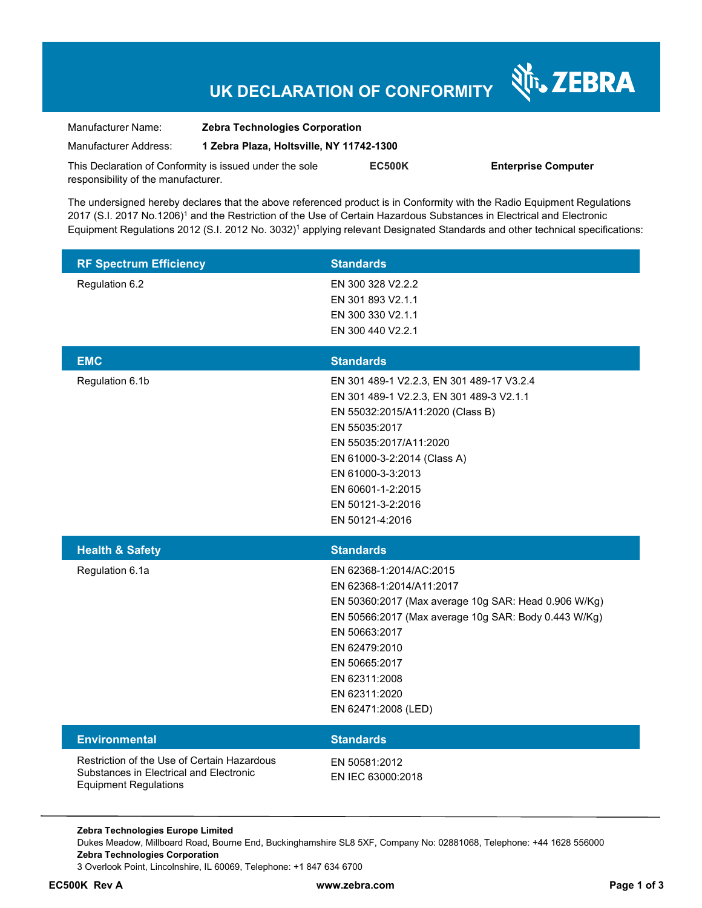# **UK DECLARATION OF CONFORMITY**

| Manufacturer Name:                                      | <b>Zebra Technologies Corporation</b><br>1 Zebra Plaza, Holtsville, NY 11742-1300 |               |        |
|---------------------------------------------------------|-----------------------------------------------------------------------------------|---------------|--------|
| Manufacturer Address:                                   |                                                                                   |               |        |
| This Declaration of Conformity is issued under the sole |                                                                                   | <b>EC500K</b> | Enterp |
| responsibility of the manufacturer.                     |                                                                                   |               |        |

**Prise Computer** 

Nr. ZEBRA

The undersigned hereby declares that the above referenced product is in Conformity with the Radio Equipment Regulations 2017 (S.I. 2017 No.1206)<sup>1</sup> and the Restriction of the Use of Certain Hazardous Substances in Electrical and Electronic Equipment Regulations 2012 (S.I. 2012 No. 3032)<sup>1</sup> applying relevant Designated Standards and other technical specifications:

| <b>RF Spectrum Efficiency</b>                                                                                          | <b>Standards</b>                                                                                                                                                                                                                                                                                          |
|------------------------------------------------------------------------------------------------------------------------|-----------------------------------------------------------------------------------------------------------------------------------------------------------------------------------------------------------------------------------------------------------------------------------------------------------|
| Regulation 6.2                                                                                                         | EN 300 328 V2.2.2<br>EN 301 893 V2.1.1<br>EN 300 330 V2.1.1<br>EN 300 440 V2.2.1                                                                                                                                                                                                                          |
|                                                                                                                        |                                                                                                                                                                                                                                                                                                           |
| <b>EMC</b><br>Regulation 6.1b                                                                                          | <b>Standards</b><br>EN 301 489-1 V2.2.3, EN 301 489-17 V3.2.4<br>EN 301 489-1 V2.2.3, EN 301 489-3 V2.1.1<br>EN 55032:2015/A11:2020 (Class B)<br>EN 55035:2017<br>EN 55035:2017/A11:2020<br>EN 61000-3-2:2014 (Class A)<br>EN 61000-3-3:2013<br>EN 60601-1-2:2015<br>EN 50121-3-2:2016<br>EN 50121-4:2016 |
| <b>Health &amp; Safety</b>                                                                                             | <b>Standards</b>                                                                                                                                                                                                                                                                                          |
| Regulation 6.1a                                                                                                        | EN 62368-1:2014/AC:2015<br>EN 62368-1:2014/A11:2017<br>EN 50360:2017 (Max average 10g SAR: Head 0.906 W/Kg)<br>EN 50566:2017 (Max average 10g SAR: Body 0.443 W/Kg)<br>EN 50663:2017<br>EN 62479:2010<br>EN 50665:2017<br>EN 62311:2008<br>EN 62311:2020<br>EN 62471:2008 (LED)                           |
| Environmental                                                                                                          | <b>Standards</b>                                                                                                                                                                                                                                                                                          |
| Restriction of the Use of Certain Hazardous<br>Substances in Electrical and Electronic<br><b>Equipment Regulations</b> | EN 50581:2012<br>EN IEC 63000:2018                                                                                                                                                                                                                                                                        |

**Zebra Technologies Europe Limited**  Dukes Meadow, Millboard Road, Bourne End, Buckinghamshire SL8 5XF, Company No: 02881068, Telephone: +44 1628 556000 **Zebra Technologies Corporation**  3 Overlook Point, Lincolnshire, IL 60069, Telephone: +1 847 634 6700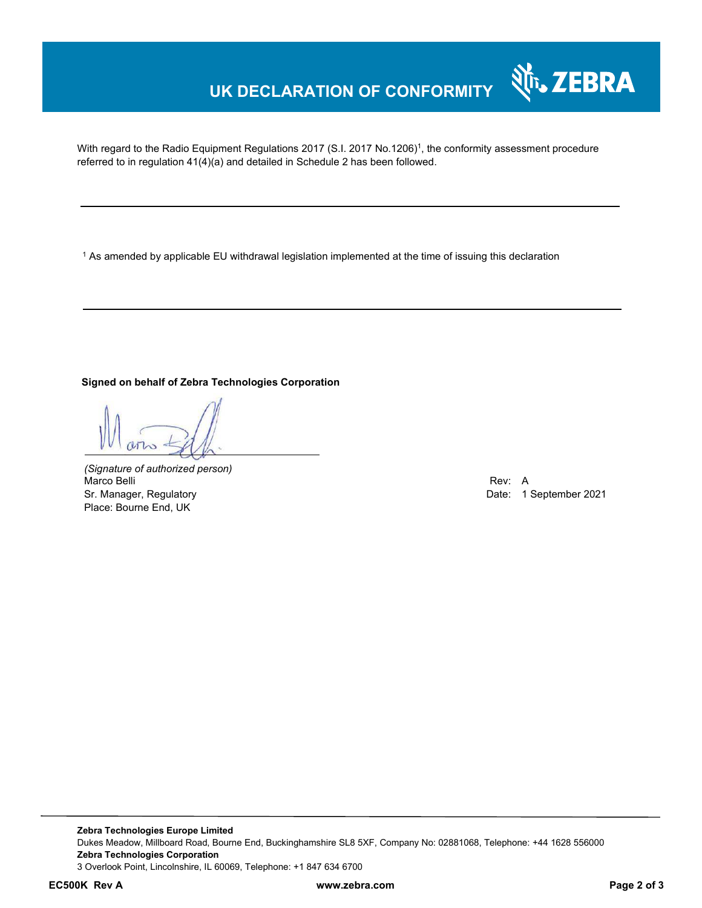# **UK DECLARATION OF CONFORMITY**

With regard to the Radio Equipment Regulations 2017 (S.I. 2017 No.1206)<sup>1</sup>, the conformity assessment procedure referred to in regulation 41(4)(a) and detailed in Schedule 2 has been followed.

 $^{\rm 1}$  As amended by applicable EU withdrawal legislation implemented at the time of issuing this declaration

#### **Signed on behalf of Zebra Technologies Corporation**

*(Signature of authorized person)* Marco Belli Rev: A Alexander Communication of the Communication of the Communication of the Communication of the Communication of the Communication of the Communication of the Communication of the Communication of the Comm Sr. Manager, Regulatory **Date: 1 September 2021** Place: Bourne End, UK

र्शे<sub>ि</sub>, ZEBRA